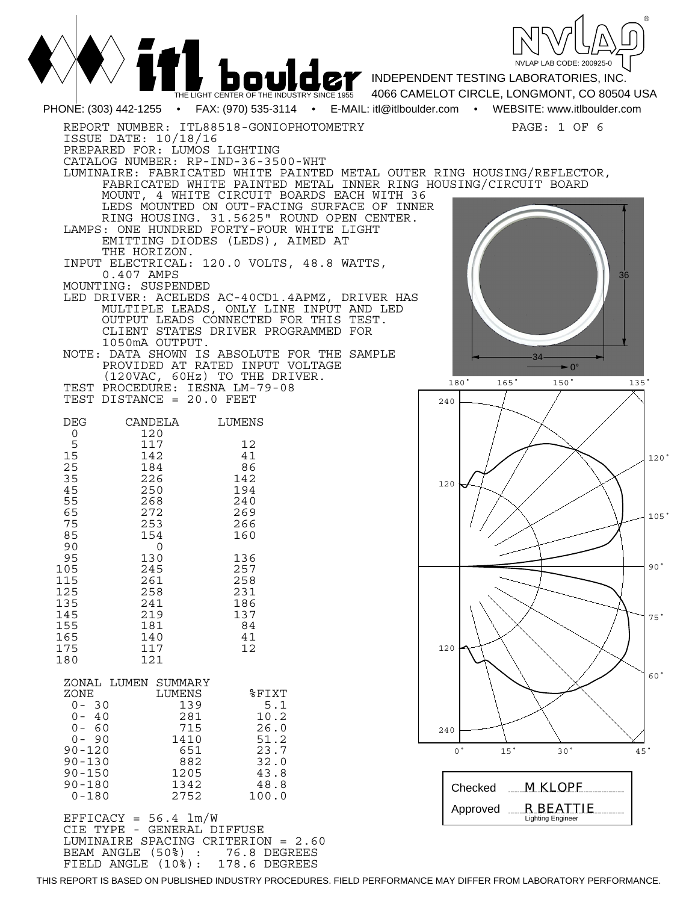| THE LIGHT CENTER OF THE INDUSTRY SINCE 1955                                                                                                                                                                                                                                                                                                                                                                                                                                                                                                                                                                                                                                                                                                                                                                                                                                                                                                                                                        | NVLAP LAB CODE: 200925-0<br><b>DOULOCY</b> INDEPENDENT TESTING LABORATORIES, INC.<br>4066 CAMELOT CIRCLE, LONGMONT, CO 80504 USA                                      |
|----------------------------------------------------------------------------------------------------------------------------------------------------------------------------------------------------------------------------------------------------------------------------------------------------------------------------------------------------------------------------------------------------------------------------------------------------------------------------------------------------------------------------------------------------------------------------------------------------------------------------------------------------------------------------------------------------------------------------------------------------------------------------------------------------------------------------------------------------------------------------------------------------------------------------------------------------------------------------------------------------|-----------------------------------------------------------------------------------------------------------------------------------------------------------------------|
| PHONE: (303) 442-1255 • FAX: (970) 535-3114 • E-MAIL: itl@itlboulder.com • WEBSITE: www.itlboulder.com                                                                                                                                                                                                                                                                                                                                                                                                                                                                                                                                                                                                                                                                                                                                                                                                                                                                                             |                                                                                                                                                                       |
| REPORT NUMBER: ITL88518-GONIOPHOTOMETRY<br>ISSUE DATE: 10/18/16<br>PREPARED FOR: LUMOS LIGHTING<br>CATALOG NUMBER: RP-IND-36-3500-WHT<br>LUMINAIRE: FABRICATED WHITE PAINTED METAL OUTER RING HOUSING/REFLECTOR,<br>FABRICATED WHITE PAINTED METAL INNER RING HOUSING/CIRCUIT BOARD<br>MOUNT, 4 WHITE CIRCUIT BOARDS EACH WITH 36<br>LEDS MOUNTED ON OUT-FACING SURFACE OF INNER<br>RING HOUSING. 31.5625" ROUND OPEN CENTER.<br>LAMPS: ONE HUNDRED FORTY-FOUR WHITE LIGHT<br>EMITTING DIODES (LEDS), AIMED AT<br>THE HORIZON.<br>INPUT ELECTRICAL: 120.0 VOLTS, 48.8 WATTS,<br>0.407 AMPS<br>MOUNTING: SUSPENDED<br>LED DRIVER: ACELEDS AC-40CD1.4APMZ, DRIVER HAS<br>MULTIPLE LEADS, ONLY LINE INPUT AND LED<br>OUTPUT LEADS CONNECTED FOR THIS TEST.<br>CLIENT STATES DRIVER PROGRAMMED FOR<br>1050mA OUTPUT.<br>NOTE: DATA SHOWN IS ABSOLUTE FOR THE SAMPLE<br>PROVIDED AT RATED INPUT VOLTAGE<br>(120VAC, 60Hz) TO THE DRIVER.<br>TEST PROCEDURE: IESNA LM-79-08<br>TEST DISTANCE = 20.0 FEET | PAGE: 1 OF 6<br>36<br>$\blacktriangleright$ 0°<br>180°<br>$165$ <sup>*</sup><br>150 <sup>°</sup><br>$135$ <sup><math>\degree</math></sup>                             |
|                                                                                                                                                                                                                                                                                                                                                                                                                                                                                                                                                                                                                                                                                                                                                                                                                                                                                                                                                                                                    | 240                                                                                                                                                                   |
| CANDELA<br><b>DEG</b><br>LUMENS<br>120<br>0<br>5<br>12<br>117<br>15<br>142<br>41<br>25<br>184<br>86<br>35<br>226<br>142<br>45<br>250<br>194<br>55<br>268<br>240<br>65<br>272<br>269<br>75<br>266<br>253<br>85<br>160<br>154                                                                                                                                                                                                                                                                                                                                                                                                                                                                                                                                                                                                                                                                                                                                                                        | 120°<br>120<br>105 <sup>°</sup>                                                                                                                                       |
| 90<br>0<br>95<br>130<br>136<br>257<br>105<br>245<br>258<br>115<br>261<br>125<br>258<br>231<br>135<br>186<br>241<br>145<br>219<br>137<br>84<br>155<br>181<br>165<br>41<br>140<br>175<br>12<br>117<br>180<br>121                                                                                                                                                                                                                                                                                                                                                                                                                                                                                                                                                                                                                                                                                                                                                                                     | 90 <sup>°</sup><br>75°<br>120                                                                                                                                         |
| ZONAL LUMEN SUMMARY<br>ZONE<br>LUMENS<br>$$$ FIXT<br>$0 - 30$<br>139<br>5.1<br>$0 - 40$<br>281<br>10.2<br>$0 - 60$<br>715<br>26.0<br>$0 - 90$<br>1410<br>51.2<br>$90 - 120$<br>651<br>23.7<br>882<br>32.0<br>$90 - 130$<br>$90 - 150$<br>1205<br>43.8<br>$90 - 180$<br>1342<br>48.8<br>$0 - 180$<br>2752<br>100.0<br>$EFFICACY = 56.4 \text{ lm/W}$<br>CIE TYPE - GENERAL DIFFUSE                                                                                                                                                                                                                                                                                                                                                                                                                                                                                                                                                                                                                  | 60 <sup>°</sup><br>240<br>$^{\circ}$<br>15 <sup>°</sup><br>30 <sup>o</sup><br>45°<br>$M$ KLOPF<br>Checked<br><b>R BEATTIE</b><br>Approved<br><b>Lighting Engineer</b> |
| LUMINAIRE SPACING CRITERION = 2.60<br>BEAM ANGLE (50%) :<br>76.8 DEGREES<br>FIELD ANGLE (10%):<br>178.6 DEGREES                                                                                                                                                                                                                                                                                                                                                                                                                                                                                                                                                                                                                                                                                                                                                                                                                                                                                    |                                                                                                                                                                       |

THIS REPORT IS BASED ON PUBLISHED INDUSTRY PROCEDURES. FIELD PERFORMANCE MAY DIFFER FROM LABORATORY PERFORMANCE.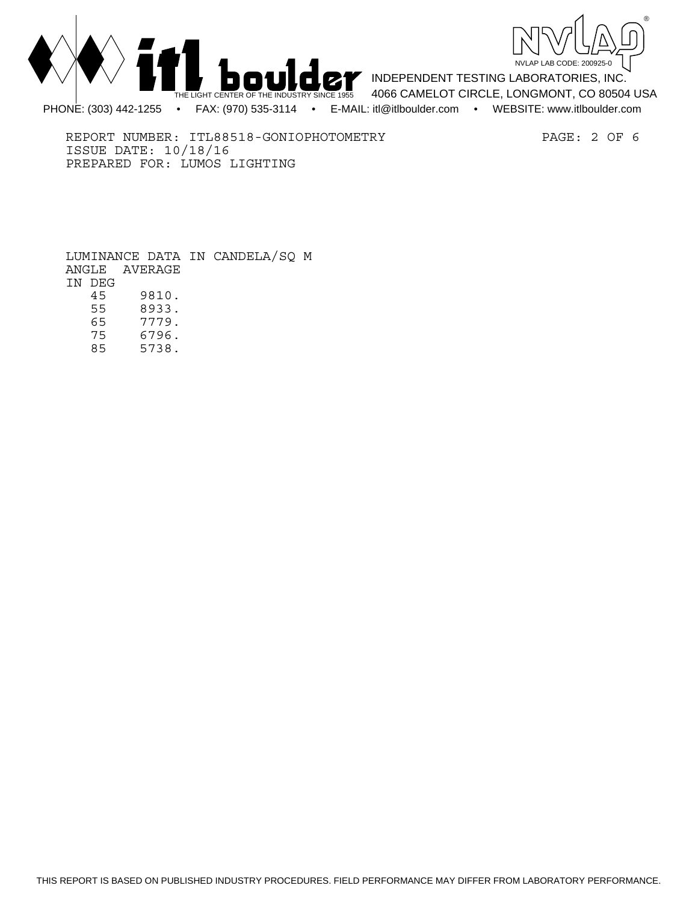



REPORT NUMBER: ITL88518-GONIOPHOTOMETRY PAGE: 2 OF 6 ISSUE DATE: 10/18/16 PREPARED FOR: LUMOS LIGHTING

 LUMINANCE DATA IN CANDELA/SQ M ANGLE AVERAGE IN DEG<br>45 45 9810. 55 8933. 65 7779.

 75 6796. 85 5738.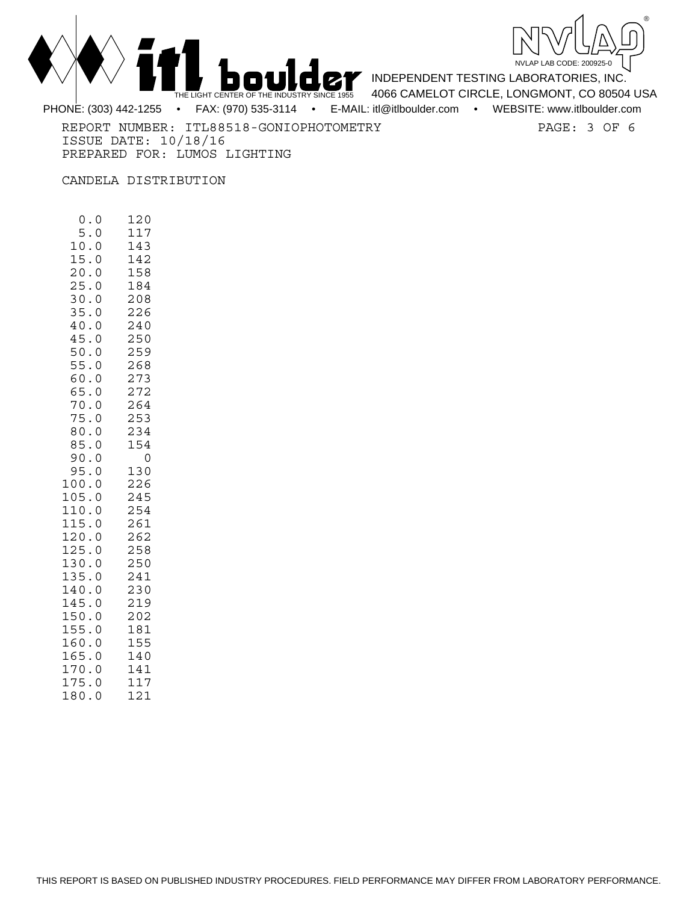



REPORT NUMBER: ITL88518-GONIOPHOTOMETRY PAGE: 3 OF 6 ISSUE DATE: 10/18/16 PREPARED FOR: LUMOS LIGHTING

CANDELA DISTRIBUTION

 0.0 120 5.0 117 10.0 143 15.0 142 20.0 158 25.0 184 30.0 208 35.0 226<br>40.0 240  $40.0$  45.0 250 50.0 259 55.0 268  $60.0$  65.0 272 70.0 264 75.0 253 80.0 234 85.0 154 90.0 0<br>95.0 130  $95.0$ 100.0 226<br>105.0 245  $105.0$ 110.0 254 115.0 261 120.0 262 125.0 258<br>130.0 250 130.0 135.0 241 140.0 230 145.0 219 150.0 202 155.0 181<br>160.0 155 160.0 165.0 140 170.0 141 175.0 117 180.0 121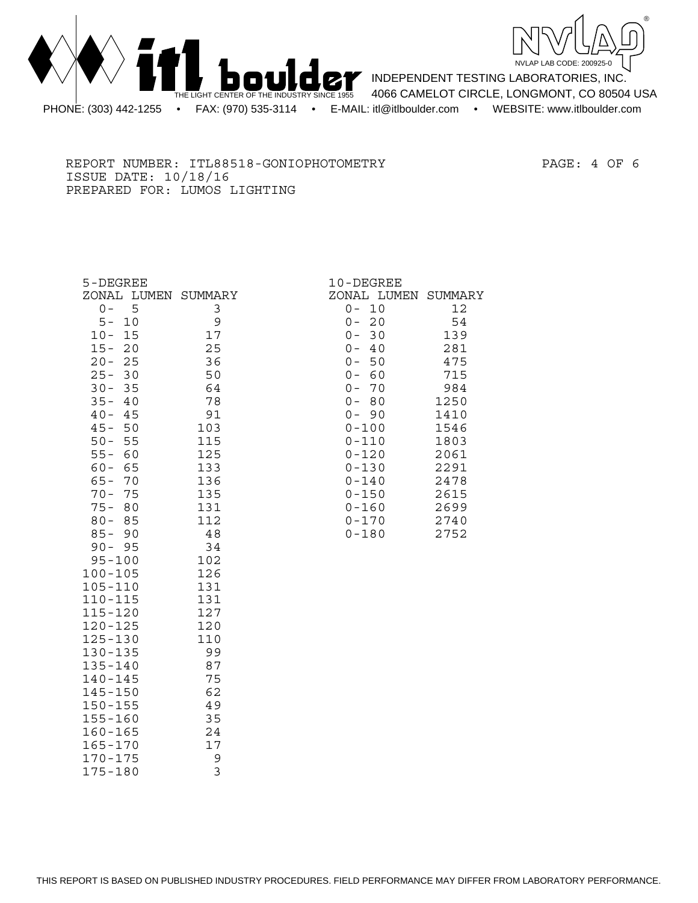



REPORT NUMBER: ITL88518-GONIOPHOTOMETRY PAGE: 4 OF 6 ISSUE DATE: 10/18/16 PREPARED FOR: LUMOS LIGHTING

| 5-DEGREE                     |            | 10-DEGREE              |              |
|------------------------------|------------|------------------------|--------------|
| ZONAL LUMEN SUMMARY          |            | ZONAL LUMEN SUMMARY    |              |
| $0 -$<br>5                   | 3          | $0 -$<br>10            | 12           |
| 10<br>$5 -$                  | 9          | 20<br>$0 -$            | 54           |
| $10 -$<br>15                 | 17         | 30<br>$0 -$            | 139          |
| 20<br>$15 -$                 | 25         | $0 -$<br>40            | 281          |
| $20 -$<br>25                 | 36         | $0 -$<br>50            | 475          |
| $25 -$<br>30                 | 50         | 60<br>$0 -$            | 715          |
| $30 -$<br>35                 | 64         | $0 -$<br>70            | 984          |
| $35 -$<br>40                 | 78         | $0 -$<br>80            | 1250         |
| $40 -$<br>45                 | 91         | $0 -$<br>90            | 1410         |
| $45 -$<br>50<br>$50 -$<br>55 | 103<br>115 | $0 - 100$<br>$0 - 110$ | 1546<br>1803 |
| $55 -$<br>60                 | 125        | $0 - 120$              | 2061         |
| $60 -$<br>65                 | 133        | $0 - 130$              | 2291         |
| $65 -$<br>70                 | 136        | $0 - 140$              | 2478         |
| $70 -$<br>75                 | 135        | $0 - 150$              | 2615         |
| $75 -$<br>80                 | 131        | $0 - 160$              | 2699         |
| $80 -$<br>85                 | 112        | $0 - 170$              | 2740         |
| $85 -$<br>90                 | 48         | $0 - 180$              | 2752         |
| $90 - 95$                    | 34         |                        |              |
| $95 - 100$                   | 102        |                        |              |
| $100 - 105$                  | 126        |                        |              |
| $105 - 110$                  | 131        |                        |              |
| $110 - 115$                  | 131        |                        |              |
| $115 - 120$                  | 127        |                        |              |
| $120 - 125$<br>$125 - 130$   | 120<br>110 |                        |              |
| $130 - 135$                  | 99         |                        |              |
| $135 - 140$                  | 87         |                        |              |
| $140 - 145$                  | 75         |                        |              |
| $145 - 150$                  | 62         |                        |              |
| $150 - 155$                  | 49         |                        |              |
| $155 - 160$                  | 35         |                        |              |
| $160 - 165$                  | 24         |                        |              |
| $165 - 170$                  | 17         |                        |              |
| $170 - 175$                  | 9          |                        |              |

175-180 3

|           | ىتىنىت |        |
|-----------|--------|--------|
| DNAL      | LUMEN  | SUMMAR |
| 0         | 10     | 12     |
| $0 -$     | 20     | 54     |
| $0 -$     | 30     | 139    |
| $0 -$     | 40     | 281    |
| $0 -$     | 50     | 475    |
| $0 -$     | 60     | 715    |
| $0 -$     | 70     | 984    |
| $0 -$     | 80     | 1250   |
| 0 –       | 90     | 1410   |
| 0-100     |        | 1546   |
| 0-110     |        | 1803   |
| 0-120     |        | 2061   |
| 0-130     |        | 2291   |
| 0-140     |        | 2478   |
| 0-150     |        | 2615   |
| 0-160     |        | 2699   |
| 0-170     |        | 2740   |
| N – 1 R N |        | フフトつ   |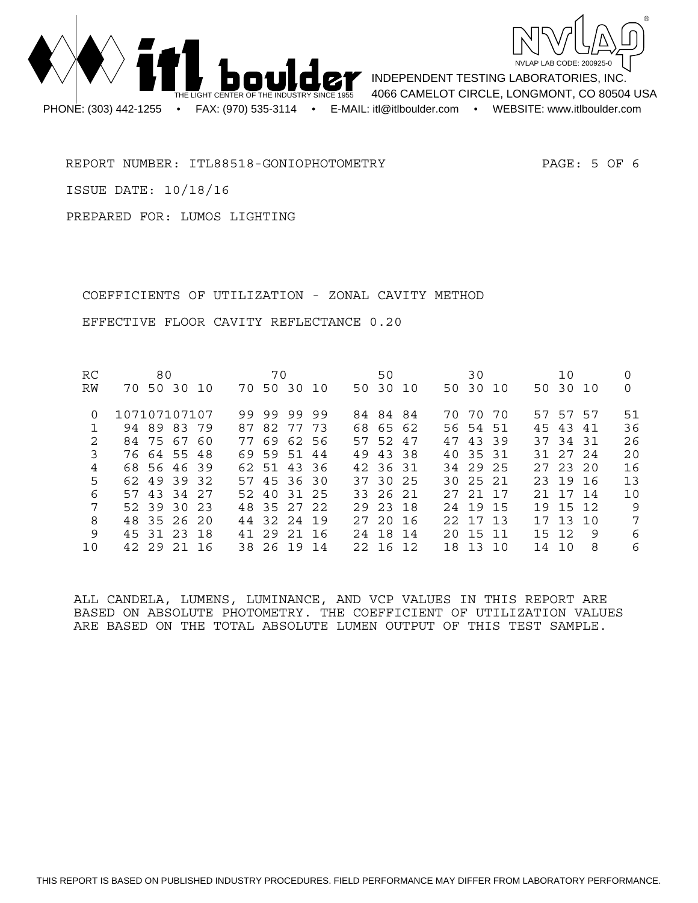



REPORT NUMBER: ITL88518-GONIOPHOTOMETRY PAGE: 5 OF 6

ISSUE DATE: 10/18/16

PREPARED FOR: LUMOS LIGHTING

 COEFFICIENTS OF UTILIZATION - ZONAL CAVITY METHOD EFFECTIVE FLOOR CAVITY REFLECTANCE 0.20

| <b>RC</b> | 80           |             |  |  |    | 70          |          |  |  | 50 |          |  |  |  | 30       |  |    | 10         |    |     |
|-----------|--------------|-------------|--|--|----|-------------|----------|--|--|----|----------|--|--|--|----------|--|----|------------|----|-----|
| RW        |              | 70 50 30 10 |  |  |    | 70 50 30 10 |          |  |  |    | 50 30 10 |  |  |  | 50 30 10 |  |    | 50 30 10   |    | 0   |
| 0         | 107107107107 |             |  |  |    | 99 99 99 99 |          |  |  |    | 84 84 84 |  |  |  | 70 70 70 |  |    | 57 57 57   |    | 51  |
|           |              | 94 89 83 79 |  |  |    | 87 82 77 73 |          |  |  |    | 68 65 62 |  |  |  | 56 54 51 |  |    | 45 43 41   |    | 36  |
| 2         |              | 84 75 67 60 |  |  |    | 77 69 62 56 |          |  |  |    | 57 52 47 |  |  |  | 47 43 39 |  |    | 37 34 31   |    | 26  |
| 3         |              | 76 64 55 48 |  |  |    | 69 59 51 44 |          |  |  |    | 49 43 38 |  |  |  | 40 35 31 |  |    | 31 27 24   |    | 20  |
| 4         |              | 68 56 46 39 |  |  |    | 62 51 43 36 |          |  |  |    | 42 36 31 |  |  |  | 34 29 25 |  |    | 27, 23, 20 |    | 16  |
| 5         |              | 62 49 39 32 |  |  |    | 57 45 36 30 |          |  |  |    | 37 30 25 |  |  |  | 30 25 21 |  |    | 23 19 16   |    | 13  |
| 6         |              | 57 43 34 27 |  |  |    | 52 40 31 25 |          |  |  |    | 33 26 21 |  |  |  | 27 21 17 |  |    | 21 17 14   |    | 10  |
| 7         |              | 52 39 30 23 |  |  |    | 48 35 27 22 |          |  |  |    | 29 23 18 |  |  |  | 24 19 15 |  |    | 19 15 12   |    | - 9 |
| 8         |              | 48 35 26 20 |  |  |    | 44 32 24 19 |          |  |  |    | 27,20,16 |  |  |  | 22 17 13 |  |    | 17 13 10   |    | 7   |
| 9         |              | 45 31 23 18 |  |  | 41 |             | 29 21 16 |  |  |    | 24 18 14 |  |  |  | 20 15 11 |  |    | 15 12      | -9 | 6   |
| 10        |              | 42 29 21 16 |  |  |    | 38 26 19 14 |          |  |  |    | 22 16 12 |  |  |  | 18 13 10 |  | 14 | 10         | 8  | 6   |

ALL CANDELA, LUMENS, LUMINANCE, AND VCP VALUES IN THIS REPORT ARE BASED ON ABSOLUTE PHOTOMETRY. THE COEFFICIENT OF UTILIZATION VALUES ARE BASED ON THE TOTAL ABSOLUTE LUMEN OUTPUT OF THIS TEST SAMPLE.